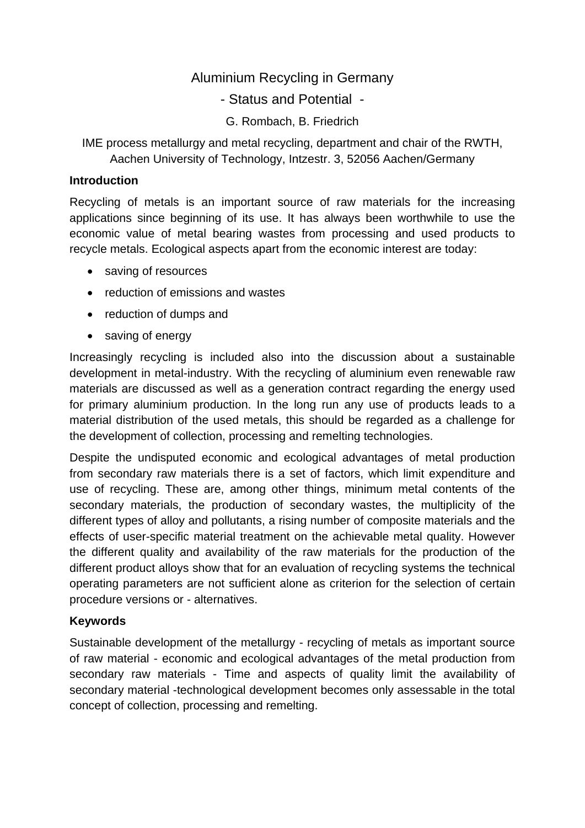# Aluminium Recycling in Germany

## - Status and Potential -

G. Rombach, B. Friedrich

IME process metallurgy and metal recycling, department and chair of the RWTH, Aachen University of Technology, Intzestr. 3, 52056 Aachen/Germany

#### **Introduction**

Recycling of metals is an important source of raw materials for the increasing applications since beginning of its use. It has always been worthwhile to use the economic value of metal bearing wastes from processing and used products to recycle metals. Ecological aspects apart from the economic interest are today:

- saving of resources
- reduction of emissions and wastes
- reduction of dumps and
- saving of energy

Increasingly recycling is included also into the discussion about a sustainable development in metal-industry. With the recycling of aluminium even renewable raw materials are discussed as well as a generation contract regarding the energy used for primary aluminium production. In the long run any use of products leads to a material distribution of the used metals, this should be regarded as a challenge for the development of collection, processing and remelting technologies.

Despite the undisputed economic and ecological advantages of metal production from secondary raw materials there is a set of factors, which limit expenditure and use of recycling. These are, among other things, minimum metal contents of the secondary materials, the production of secondary wastes, the multiplicity of the different types of alloy and pollutants, a rising number of composite materials and the effects of user-specific material treatment on the achievable metal quality. However the different quality and availability of the raw materials for the production of the different product alloys show that for an evaluation of recycling systems the technical operating parameters are not sufficient alone as criterion for the selection of certain procedure versions or - alternatives.

### **Keywords**

Sustainable development of the metallurgy - recycling of metals as important source of raw material - economic and ecological advantages of the metal production from secondary raw materials - Time and aspects of quality limit the availability of secondary material -technological development becomes only assessable in the total concept of collection, processing and remelting.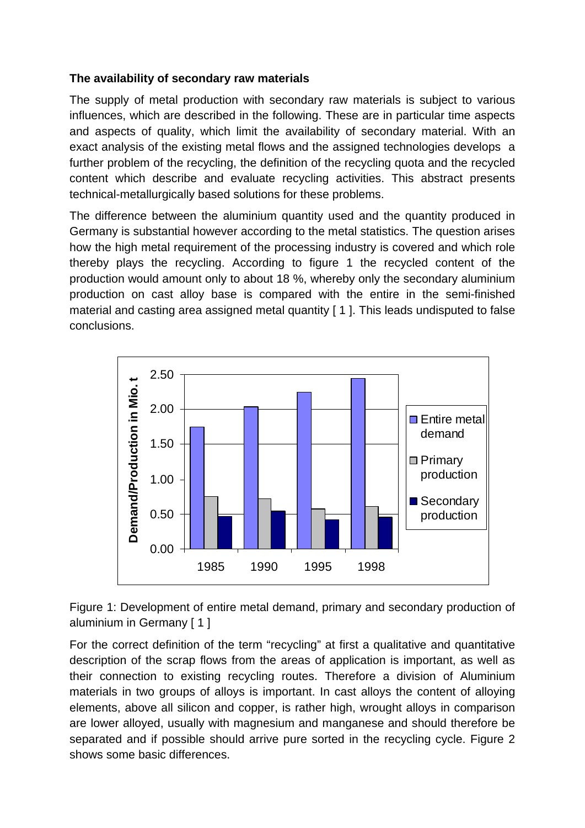### **The availability of secondary raw materials**

The supply of metal production with secondary raw materials is subject to various influences, which are described in the following. These are in particular time aspects and aspects of quality, which limit the availability of secondary material. With an exact analysis of the existing metal flows and the assigned technologies develops a further problem of the recycling, the definition of the recycling quota and the recycled content which describe and evaluate recycling activities. This abstract presents technical-metallurgically based solutions for these problems.

The difference between the aluminium quantity used and the quantity produced in Germany is substantial however according to the metal statistics. The question arises how the high metal requirement of the processing industry is covered and which role thereby plays the recycling. According to figure 1 the recycled content of the production would amount only to about 18 %, whereby only the secondary aluminium production on cast alloy base is compared with the entire in the semi-finished material and casting area assigned metal quantity [1]. This leads undisputed to false conclusions.



Figure 1: Development of entire metal demand, primary and secondary production of aluminium in Germany [ 1 ]

For the correct definition of the term "recycling" at first a qualitative and quantitative description of the scrap flows from the areas of application is important, as well as their connection to existing recycling routes. Therefore a division of Aluminium materials in two groups of alloys is important. In cast alloys the content of alloying elements, above all silicon and copper, is rather high, wrought alloys in comparison are lower alloyed, usually with magnesium and manganese and should therefore be separated and if possible should arrive pure sorted in the recycling cycle. Figure 2 shows some basic differences.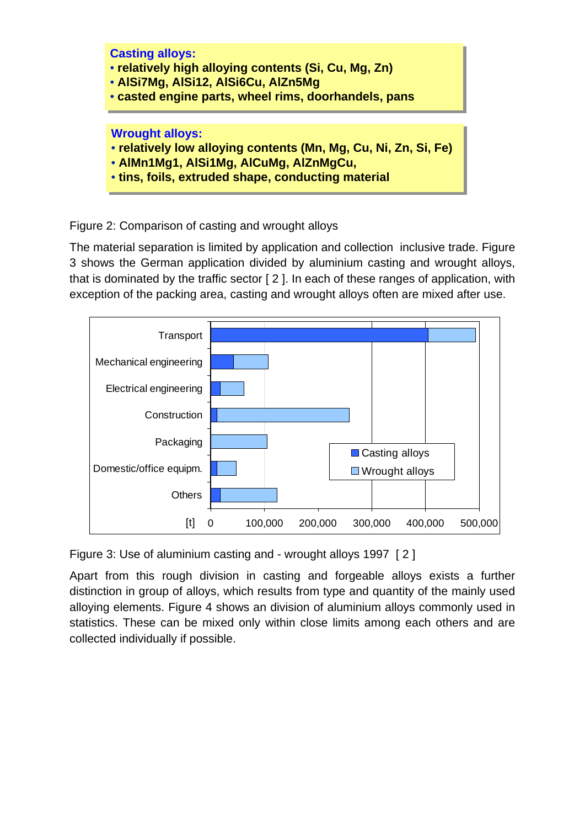

Figure 2: Comparison of casting and wrought alloys

The material separation is limited by application and collection inclusive trade. Figure 3 shows the German application divided by aluminium casting and wrought alloys, that is dominated by the traffic sector [ 2 ]. In each of these ranges of application, with exception of the packing area, casting and wrought alloys often are mixed after use.



Figure 3: Use of aluminium casting and - wrought alloys 1997 [ 2 ]

Apart from this rough division in casting and forgeable alloys exists a further distinction in group of alloys, which results from type and quantity of the mainly used alloying elements. Figure 4 shows an division of aluminium alloys commonly used in statistics. These can be mixed only within close limits among each others and are collected individually if possible.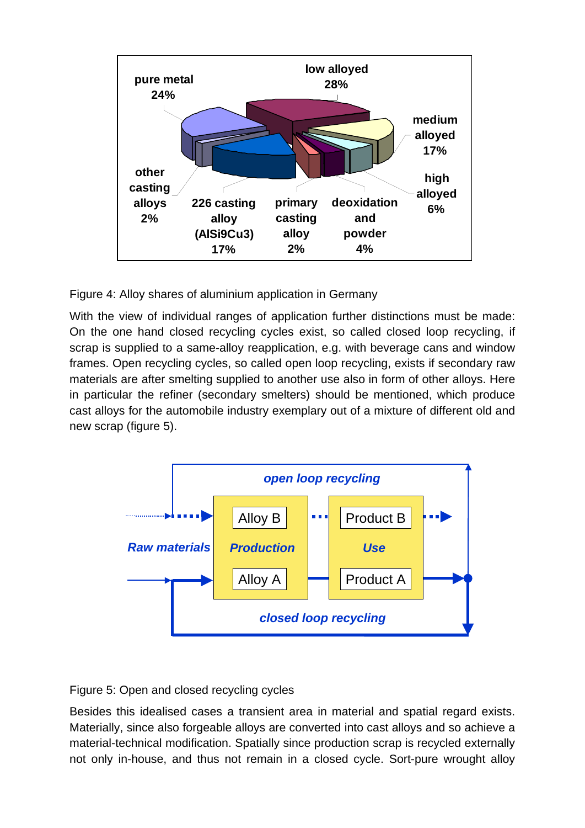

Figure 4: Alloy shares of aluminium application in Germany

With the view of individual ranges of application further distinctions must be made: On the one hand closed recycling cycles exist, so called closed loop recycling, if scrap is supplied to a same-alloy reapplication, e.g. with beverage cans and window frames. Open recycling cycles, so called open loop recycling, exists if secondary raw materials are after smelting supplied to another use also in form of other alloys. Here in particular the refiner (secondary smelters) should be mentioned, which produce cast alloys for the automobile industry exemplary out of a mixture of different old and new scrap (figure 5).



Figure 5: Open and closed recycling cycles

Besides this idealised cases a transient area in material and spatial regard exists. Materially, since also forgeable alloys are converted into cast alloys and so achieve a material-technical modification. Spatially since production scrap is recycled externally not only in-house, and thus not remain in a closed cycle. Sort-pure wrought alloy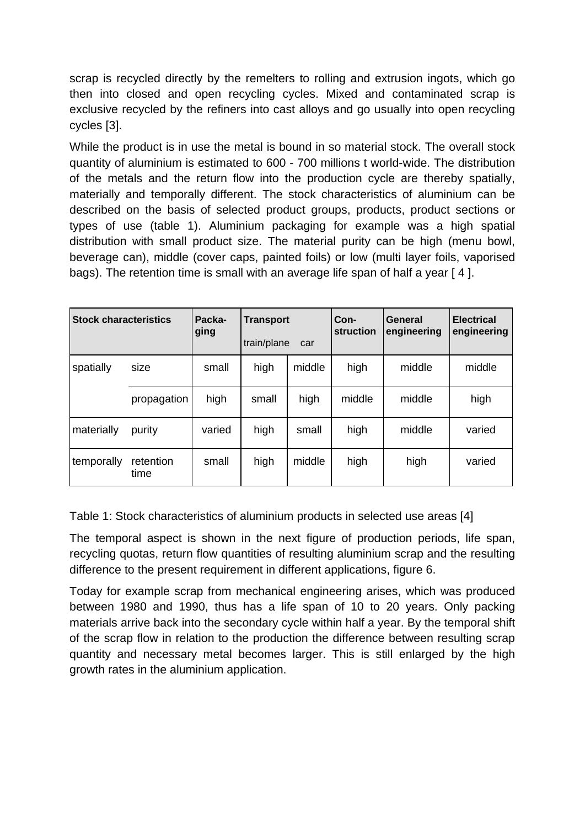scrap is recycled directly by the remelters to rolling and extrusion ingots, which go then into closed and open recycling cycles. Mixed and contaminated scrap is exclusive recycled by the refiners into cast alloys and go usually into open recycling cycles [3].

While the product is in use the metal is bound in so material stock. The overall stock quantity of aluminium is estimated to 600 - 700 millions t world-wide. The distribution of the metals and the return flow into the production cycle are thereby spatially, materially and temporally different. The stock characteristics of aluminium can be described on the basis of selected product groups, products, product sections or types of use (table 1). Aluminium packaging for example was a high spatial distribution with small product size. The material purity can be high (menu bowl, beverage can), middle (cover caps, painted foils) or low (multi layer foils, vaporised bags). The retention time is small with an average life span of half a year [ 4 ].

| <b>Stock characteristics</b> |                   | Packa-<br>ging | <b>Transport</b><br>train/plane<br>car |        | Con-<br><b>struction</b> | General<br>engineering | <b>Electrical</b><br>engineering |
|------------------------------|-------------------|----------------|----------------------------------------|--------|--------------------------|------------------------|----------------------------------|
| spatially                    | size              | small          | high                                   | middle | high                     | middle                 | middle                           |
|                              | propagation       | high           | small                                  | high   | middle                   | middle                 | high                             |
| materially                   | purity            | varied         | high                                   | small  | high                     | middle                 | varied                           |
| temporally                   | retention<br>time | small          | high                                   | middle | high                     | high                   | varied                           |

Table 1: Stock characteristics of aluminium products in selected use areas [4]

The temporal aspect is shown in the next figure of production periods, life span, recycling quotas, return flow quantities of resulting aluminium scrap and the resulting difference to the present requirement in different applications, figure 6.

Today for example scrap from mechanical engineering arises, which was produced between 1980 and 1990, thus has a life span of 10 to 20 years. Only packing materials arrive back into the secondary cycle within half a year. By the temporal shift of the scrap flow in relation to the production the difference between resulting scrap quantity and necessary metal becomes larger. This is still enlarged by the high growth rates in the aluminium application.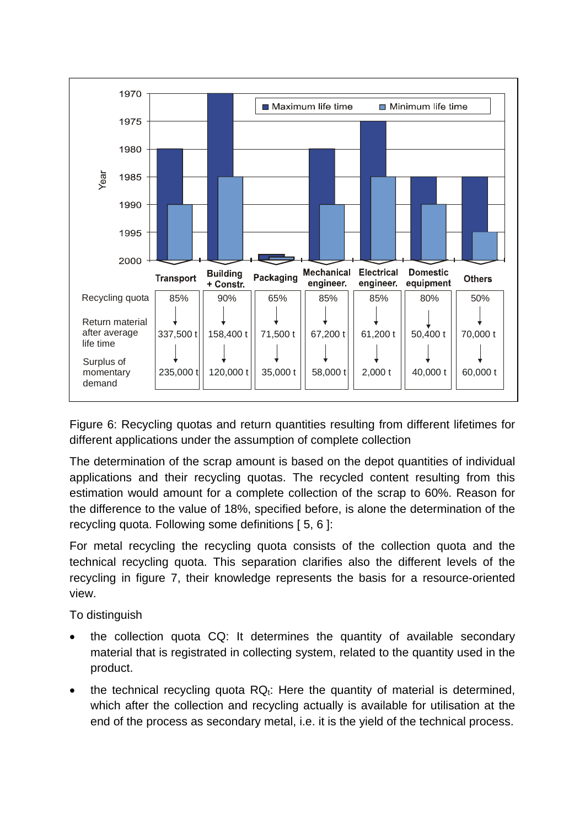

Figure 6: Recycling quotas and return quantities resulting from different lifetimes for different applications under the assumption of complete collection

The determination of the scrap amount is based on the depot quantities of individual applications and their recycling quotas. The recycled content resulting from this estimation would amount for a complete collection of the scrap to 60%. Reason for the difference to the value of 18%, specified before, is alone the determination of the recycling quota. Following some definitions [ 5, 6 ]:

For metal recycling the recycling quota consists of the collection quota and the technical recycling quota. This separation clarifies also the different levels of the recycling in figure 7, their knowledge represents the basis for a resource-oriented view.

To distinguish

- the collection quota CQ: It determines the quantity of available secondary material that is registrated in collecting system, related to the quantity used in the product.
- the technical recycling quota  $RQ_t$ : Here the quantity of material is determined, which after the collection and recycling actually is available for utilisation at the end of the process as secondary metal, i.e. it is the yield of the technical process.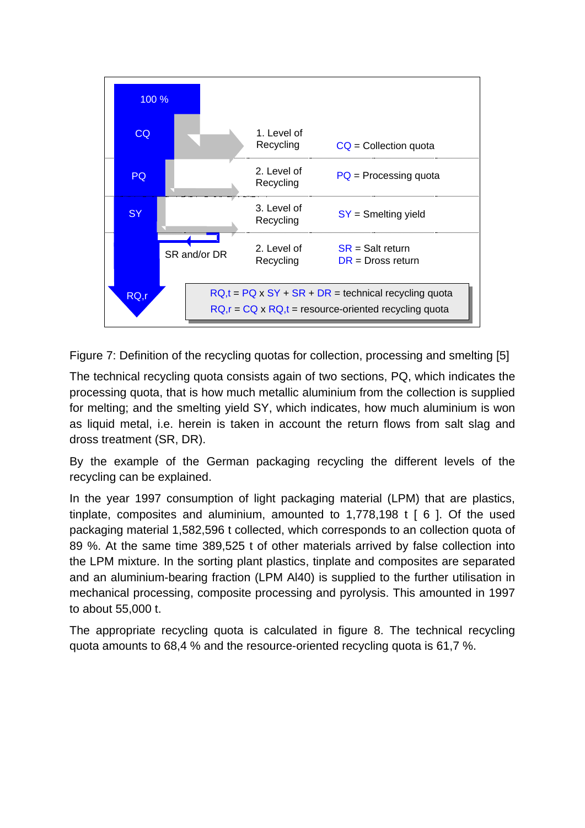

Figure 7: Definition of the recycling quotas for collection, processing and smelting [5]

The technical recycling quota consists again of two sections, PQ, which indicates the processing quota, that is how much metallic aluminium from the collection is supplied for melting; and the smelting yield SY, which indicates, how much aluminium is won as liquid metal, i.e. herein is taken in account the return flows from salt slag and dross treatment (SR, DR).

By the example of the German packaging recycling the different levels of the recycling can be explained.

In the year 1997 consumption of light packaging material (LPM) that are plastics, tinplate, composites and aluminium, amounted to 1,778,198 t [ 6 ]. Of the used packaging material 1,582,596 t collected, which corresponds to an collection quota of 89 %. At the same time 389,525 t of other materials arrived by false collection into the LPM mixture. In the sorting plant plastics, tinplate and composites are separated and an aluminium-bearing fraction (LPM Al40) is supplied to the further utilisation in mechanical processing, composite processing and pyrolysis. This amounted in 1997 to about 55,000 t.

The appropriate recycling quota is calculated in figure 8. The technical recycling quota amounts to 68,4 % and the resource-oriented recycling quota is 61,7 %.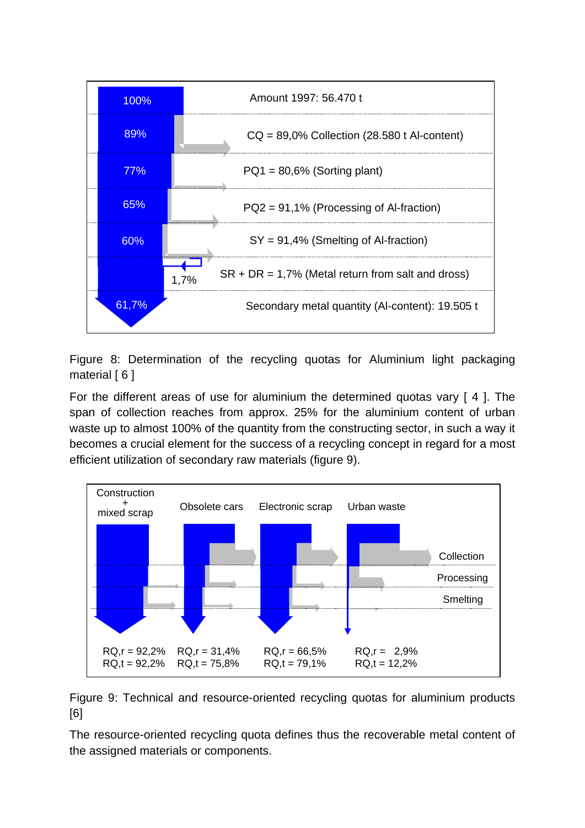

Figure 8: Determination of the recycling quotas for Aluminium light packaging material  $[6]$ 

For the different areas of use for aluminium the determined quotas vary [ 4 ]. The span of collection reaches from approx. 25% for the aluminium content of urban waste up to almost 100% of the quantity from the constructing sector, in such a way it becomes a crucial element for the success of a recycling concept in regard for a most efficient utilization of secondary raw materials (figure 9).



Figure 9: Technical and resource-oriented recycling quotas for aluminium products [6]

The resource-oriented recycling quota defines thus the recoverable metal content of the assigned materials or components.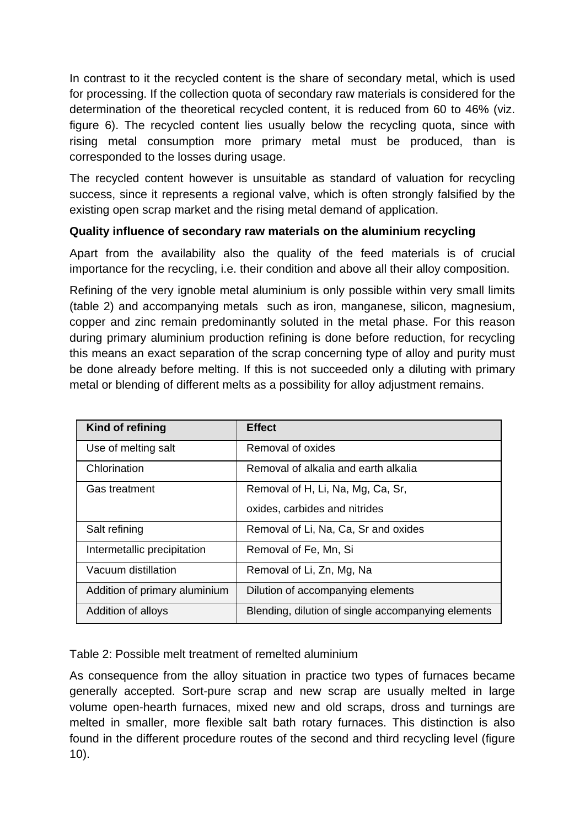In contrast to it the recycled content is the share of secondary metal, which is used for processing. If the collection quota of secondary raw materials is considered for the determination of the theoretical recycled content, it is reduced from 60 to 46% (viz. figure 6). The recycled content lies usually below the recycling quota, since with rising metal consumption more primary metal must be produced, than is corresponded to the losses during usage.

The recycled content however is unsuitable as standard of valuation for recycling success, since it represents a regional valve, which is often strongly falsified by the existing open scrap market and the rising metal demand of application.

### **Quality influence of secondary raw materials on the aluminium recycling**

Apart from the availability also the quality of the feed materials is of crucial importance for the recycling, i.e. their condition and above all their alloy composition.

Refining of the very ignoble metal aluminium is only possible within very small limits (table 2) and accompanying metals such as iron, manganese, silicon, magnesium, copper and zinc remain predominantly soluted in the metal phase. For this reason during primary aluminium production refining is done before reduction, for recycling this means an exact separation of the scrap concerning type of alloy and purity must be done already before melting. If this is not succeeded only a diluting with primary metal or blending of different melts as a possibility for alloy adjustment remains.

| Kind of refining              | <b>Effect</b>                                      |  |  |
|-------------------------------|----------------------------------------------------|--|--|
| Use of melting salt           | Removal of oxides                                  |  |  |
| Chlorination                  | Removal of alkalia and earth alkalia               |  |  |
| Gas treatment                 | Removal of H, Li, Na, Mg, Ca, Sr,                  |  |  |
|                               | oxides, carbides and nitrides                      |  |  |
| Salt refining                 | Removal of Li, Na, Ca, Sr and oxides               |  |  |
| Intermetallic precipitation   | Removal of Fe, Mn, Si                              |  |  |
| Vacuum distillation           | Removal of Li, Zn, Mg, Na                          |  |  |
| Addition of primary aluminium | Dilution of accompanying elements                  |  |  |
| Addition of alloys            | Blending, dilution of single accompanying elements |  |  |

Table 2: Possible melt treatment of remelted aluminium

As consequence from the alloy situation in practice two types of furnaces became generally accepted. Sort-pure scrap and new scrap are usually melted in large volume open-hearth furnaces, mixed new and old scraps, dross and turnings are melted in smaller, more flexible salt bath rotary furnaces. This distinction is also found in the different procedure routes of the second and third recycling level (figure 10).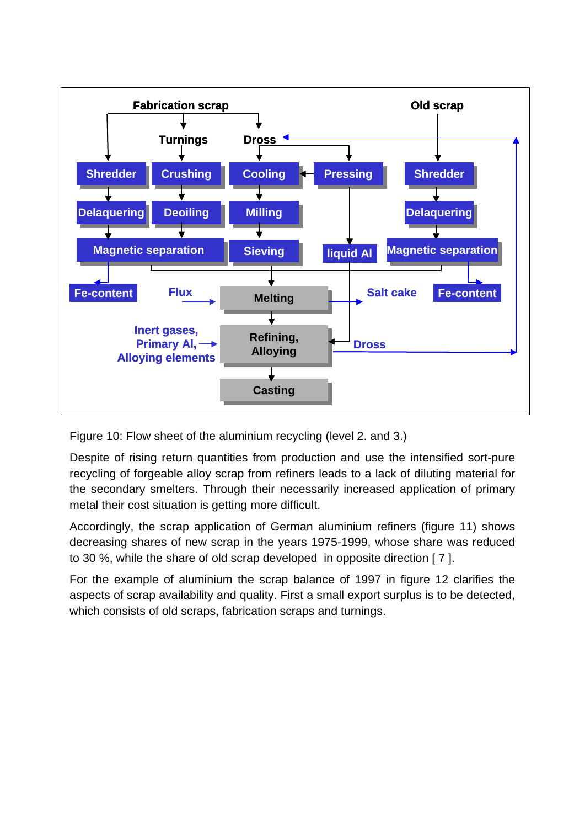

Figure 10: Flow sheet of the aluminium recycling (level 2. and 3.)

Despite of rising return quantities from production and use the intensified sort-pure recycling of forgeable alloy scrap from refiners leads to a lack of diluting material for the secondary smelters. Through their necessarily increased application of primary metal their cost situation is getting more difficult.

Accordingly, the scrap application of German aluminium refiners (figure 11) shows decreasing shares of new scrap in the years 1975-1999, whose share was reduced to 30 %, while the share of old scrap developed in opposite direction [ 7 ].

For the example of aluminium the scrap balance of 1997 in figure 12 clarifies the aspects of scrap availability and quality. First a small export surplus is to be detected, which consists of old scraps, fabrication scraps and turnings.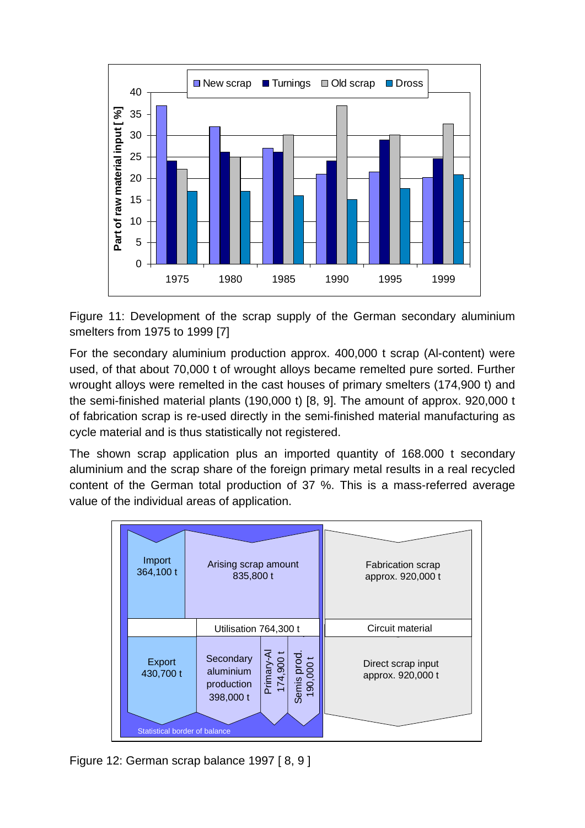

Figure 11: Development of the scrap supply of the German secondary aluminium smelters from 1975 to 1999 [7]

For the secondary aluminium production approx. 400,000 t scrap (Al-content) were used, of that about 70,000 t of wrought alloys became remelted pure sorted. Further wrought alloys were remelted in the cast houses of primary smelters (174,900 t) and the semi-finished material plants (190,000 t) [8, 9]. The amount of approx. 920,000 t of fabrication scrap is re-used directly in the semi-finished material manufacturing as cycle material and is thus statistically not registered.

The shown scrap application plus an imported quantity of 168.000 t secondary aluminium and the scrap share of the foreign primary metal results in a real recycled content of the German total production of 37 %. This is a mass-referred average value of the individual areas of application.

| Import<br>364,100 t                  | Arising scrap amount<br>835,800 t                 |                        |                          | <b>Fabrication scrap</b><br>approx. 920,000 t |  |
|--------------------------------------|---------------------------------------------------|------------------------|--------------------------|-----------------------------------------------|--|
| Utilisation 764,300 t                |                                                   |                        |                          | Circuit material                              |  |
| Export<br>430,700 t                  | Secondary<br>aluminium<br>production<br>398,000 t | 174,900 t<br>Primary-A | Semis prod.<br>190,000 t | Direct scrap input<br>approx. 920,000 t       |  |
| <b>Statistical border of balance</b> |                                                   |                        |                          |                                               |  |

Figure 12: German scrap balance 1997 [ 8, 9 ]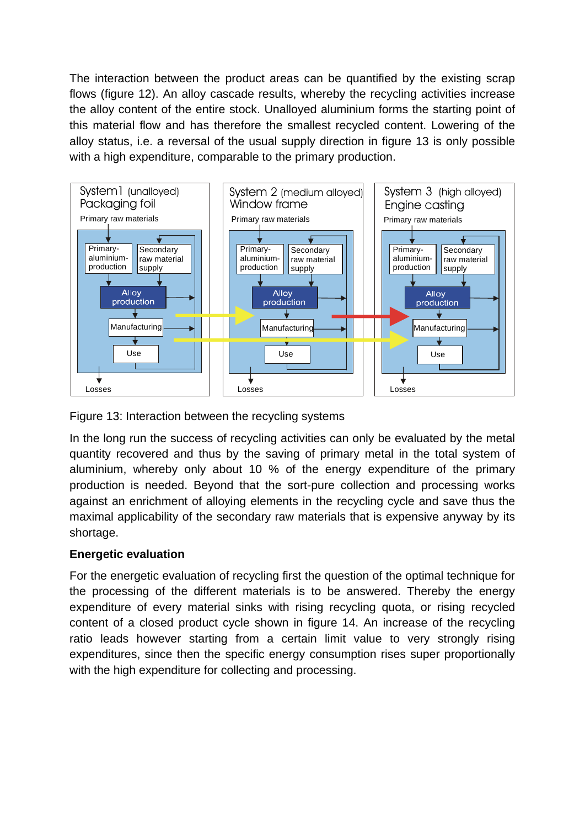The interaction between the product areas can be quantified by the existing scrap flows (figure 12). An alloy cascade results, whereby the recycling activities increase the alloy content of the entire stock. Unalloyed aluminium forms the starting point of this material flow and has therefore the smallest recycled content. Lowering of the alloy status, i.e. a reversal of the usual supply direction in figure 13 is only possible with a high expenditure, comparable to the primary production.



Figure 13: Interaction between the recycling systems

In the long run the success of recycling activities can only be evaluated by the metal quantity recovered and thus by the saving of primary metal in the total system of aluminium, whereby only about 10 % of the energy expenditure of the primary production is needed. Beyond that the sort-pure collection and processing works against an enrichment of alloying elements in the recycling cycle and save thus the maximal applicability of the secondary raw materials that is expensive anyway by its shortage.

### **Energetic evaluation**

For the energetic evaluation of recycling first the question of the optimal technique for the processing of the different materials is to be answered. Thereby the energy expenditure of every material sinks with rising recycling quota, or rising recycled content of a closed product cycle shown in figure 14. An increase of the recycling ratio leads however starting from a certain limit value to very strongly rising expenditures, since then the specific energy consumption rises super proportionally with the high expenditure for collecting and processing.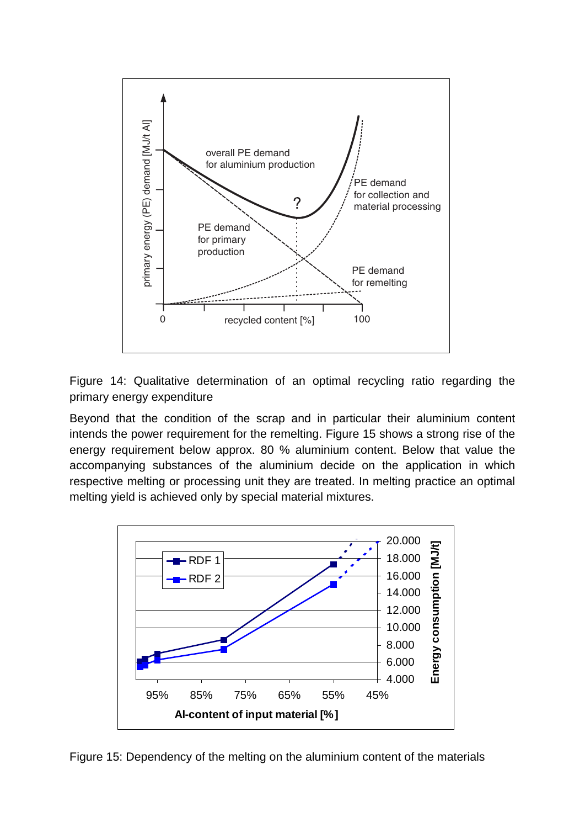

Figure 14: Qualitative determination of an optimal recycling ratio regarding the primary energy expenditure

Beyond that the condition of the scrap and in particular their aluminium content intends the power requirement for the remelting. Figure 15 shows a strong rise of the energy requirement below approx. 80 % aluminium content. Below that value the accompanying substances of the aluminium decide on the application in which respective melting or processing unit they are treated. In melting practice an optimal melting yield is achieved only by special material mixtures.



Figure 15: Dependency of the melting on the aluminium content of the materials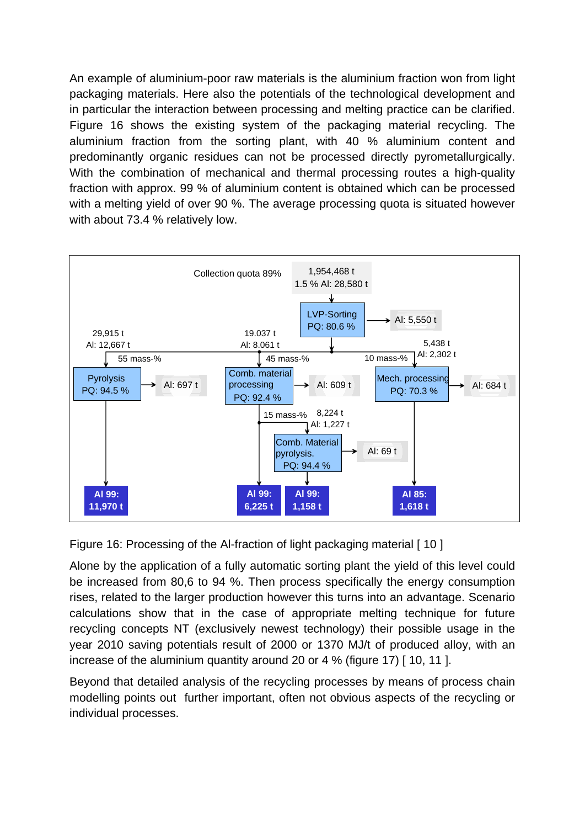An example of aluminium-poor raw materials is the aluminium fraction won from light packaging materials. Here also the potentials of the technological development and in particular the interaction between processing and melting practice can be clarified. Figure 16 shows the existing system of the packaging material recycling. The aluminium fraction from the sorting plant, with 40 % aluminium content and predominantly organic residues can not be processed directly pyrometallurgically. With the combination of mechanical and thermal processing routes a high-quality fraction with approx. 99 % of aluminium content is obtained which can be processed with a melting yield of over 90 %. The average processing quota is situated however with about 73.4 % relatively low.



Figure 16: Processing of the Al-fraction of light packaging material [ 10 ]

Alone by the application of a fully automatic sorting plant the yield of this level could be increased from 80,6 to 94 %. Then process specifically the energy consumption rises, related to the larger production however this turns into an advantage. Scenario calculations show that in the case of appropriate melting technique for future recycling concepts NT (exclusively newest technology) their possible usage in the year 2010 saving potentials result of 2000 or 1370 MJ/t of produced alloy, with an increase of the aluminium quantity around 20 or 4 % (figure 17) [ 10, 11 ].

Beyond that detailed analysis of the recycling processes by means of process chain modelling points out further important, often not obvious aspects of the recycling or individual processes.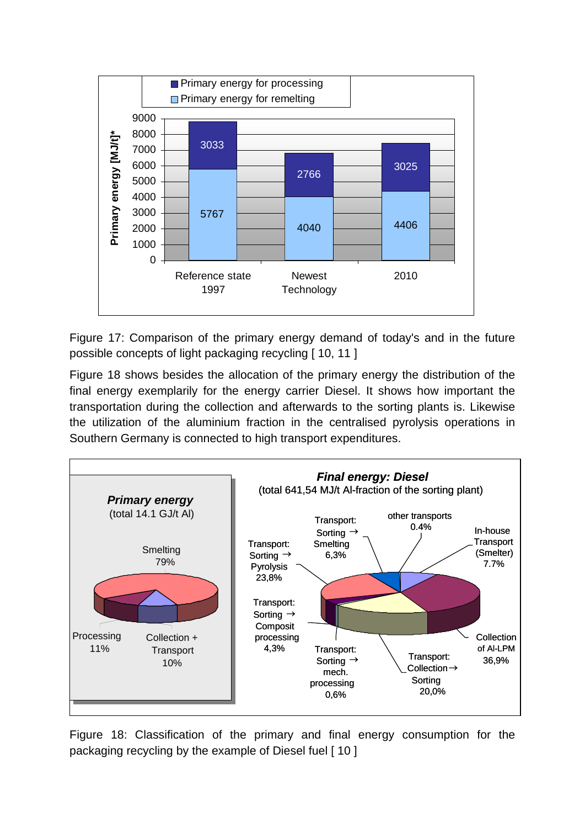

Figure 17: Comparison of the primary energy demand of today's and in the future possible concepts of light packaging recycling [ 10, 11 ]

Figure 18 shows besides the allocation of the primary energy the distribution of the final energy exemplarily for the energy carrier Diesel. It shows how important the transportation during the collection and afterwards to the sorting plants is. Likewise the utilization of the aluminium fraction in the centralised pyrolysis operations in Southern Germany is connected to high transport expenditures.



Figure 18: Classification of the primary and final energy consumption for the packaging recycling by the example of Diesel fuel [10]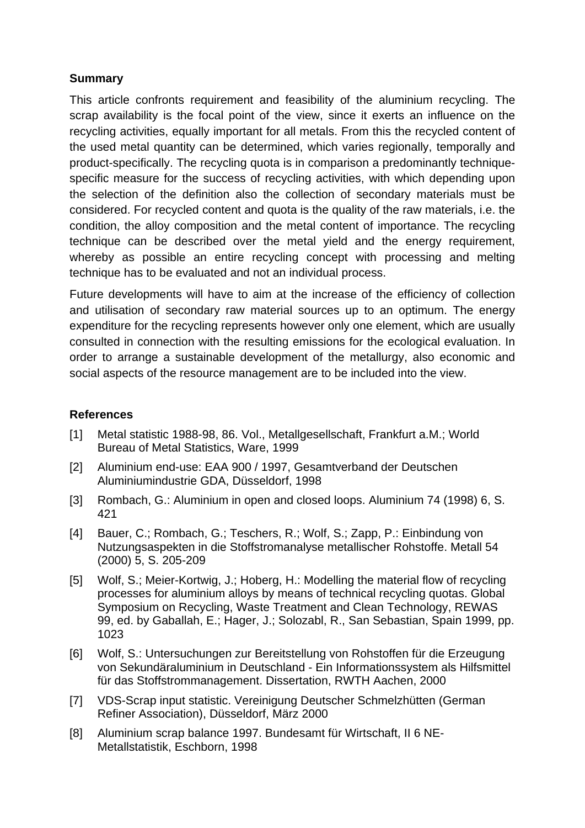### **Summary**

This article confronts requirement and feasibility of the aluminium recycling. The scrap availability is the focal point of the view, since it exerts an influence on the recycling activities, equally important for all metals. From this the recycled content of the used metal quantity can be determined, which varies regionally, temporally and product-specifically. The recycling quota is in comparison a predominantly techniquespecific measure for the success of recycling activities, with which depending upon the selection of the definition also the collection of secondary materials must be considered. For recycled content and quota is the quality of the raw materials, i.e. the condition, the alloy composition and the metal content of importance. The recycling technique can be described over the metal yield and the energy requirement, whereby as possible an entire recycling concept with processing and melting technique has to be evaluated and not an individual process.

Future developments will have to aim at the increase of the efficiency of collection and utilisation of secondary raw material sources up to an optimum. The energy expenditure for the recycling represents however only one element, which are usually consulted in connection with the resulting emissions for the ecological evaluation. In order to arrange a sustainable development of the metallurgy, also economic and social aspects of the resource management are to be included into the view.

#### **References**

- [1] Metal statistic 1988-98, 86. Vol., Metallgesellschaft, Frankfurt a.M.; World Bureau of Metal Statistics, Ware, 1999
- [2] Aluminium end-use: EAA 900 / 1997, Gesamtverband der Deutschen Aluminiumindustrie GDA, Düsseldorf, 1998
- [3] Rombach, G.: Aluminium in open and closed loops. Aluminium 74 (1998) 6, S. 421
- [4] Bauer, C.; Rombach, G.; Teschers, R.; Wolf, S.; Zapp, P.: Einbindung von Nutzungsaspekten in die Stoffstromanalyse metallischer Rohstoffe. Metall 54 (2000) 5, S. 205-209
- [5] Wolf, S.; Meier-Kortwig, J.; Hoberg, H.: Modelling the material flow of recycling processes for aluminium alloys by means of technical recycling quotas. Global Symposium on Recycling, Waste Treatment and Clean Technology, REWAS 99, ed. by Gaballah, E.; Hager, J.; Solozabl, R., San Sebastian, Spain 1999, pp. 1023
- [6] Wolf, S.: Untersuchungen zur Bereitstellung von Rohstoffen für die Erzeugung von Sekundäraluminium in Deutschland - Ein Informationssystem als Hilfsmittel für das Stoffstrommanagement. Dissertation, RWTH Aachen, 2000
- [7] VDS-Scrap input statistic. Vereinigung Deutscher Schmelzhütten (German Refiner Association), Düsseldorf, März 2000
- [8] Aluminium scrap balance 1997. Bundesamt für Wirtschaft, II 6 NE-Metallstatistik, Eschborn, 1998